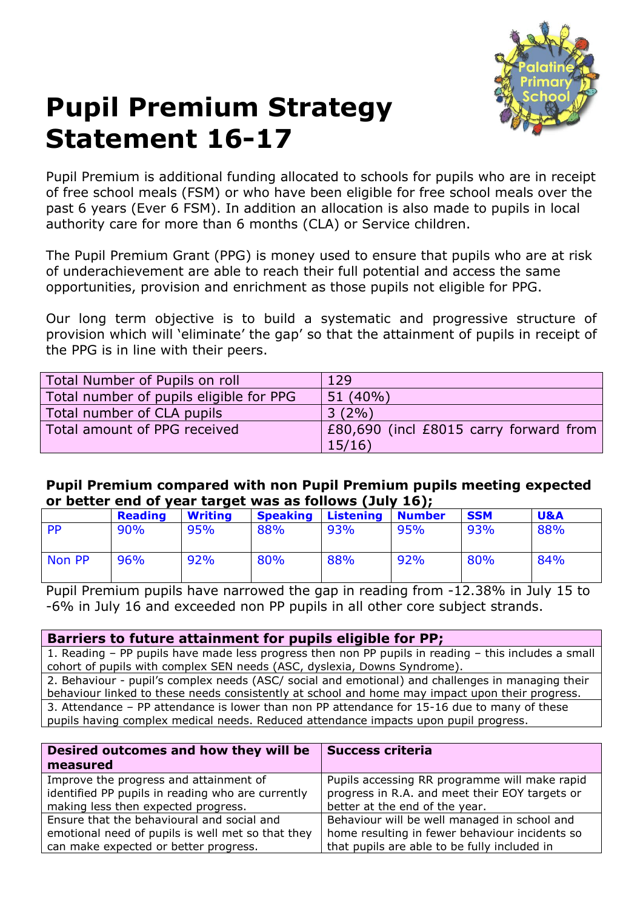

## **Pupil Premium Strategy Statement 16-17**

Pupil Premium is additional funding allocated to schools for pupils who are in receipt of free school meals (FSM) or who have been eligible for free school meals over the past 6 years (Ever 6 FSM). In addition an allocation is also made to pupils in local authority care for more than 6 months (CLA) or Service children.

The Pupil Premium Grant (PPG) is money used to ensure that pupils who are at risk of underachievement are able to reach their full potential and access the same opportunities, provision and enrichment as those pupils not eligible for PPG.

Our long term objective is to build a systematic and progressive structure of provision which will 'eliminate' the gap' so that the attainment of pupils in receipt of the PPG is in line with their peers.

| Total Number of Pupils on roll          | 129                                    |
|-----------------------------------------|----------------------------------------|
| Total number of pupils eligible for PPG | 51 (40%)                               |
| Total number of CLA pupils              | $3(2\%)$                               |
| Total amount of PPG received            | £80,690 (incl £8015 carry forward from |
|                                         | 15/16                                  |

## **Pupil Premium compared with non Pupil Premium pupils meeting expected or better end of year target was as follows (July 16);**

|        | <b>Reading</b> | <b>Writing</b> | <b>Speaking</b> | <b>Listening</b> | <b>Number</b> | <b>SSM</b> | <b>U&amp;A</b> |
|--------|----------------|----------------|-----------------|------------------|---------------|------------|----------------|
| PP     | 90%            | 95%            | 88%             | 93%              | 95%           | 93%        | 88%            |
| Non PP | 96%            | 92%            | 80%             | 88%              | 92%           | 80%        | 84%            |

Pupil Premium pupils have narrowed the gap in reading from -12.38% in July 15 to -6% in July 16 and exceeded non PP pupils in all other core subject strands.

## **Barriers to future attainment for pupils eligible for PP;**

1. Reading – PP pupils have made less progress then non PP pupils in reading – this includes a small cohort of pupils with complex SEN needs (ASC, dyslexia, Downs Syndrome).

2. Behaviour - pupil's complex needs (ASC/ social and emotional) and challenges in managing their behaviour linked to these needs consistently at school and home may impact upon their progress. 3. Attendance – PP attendance is lower than non PP attendance for 15-16 due to many of these pupils having complex medical needs. Reduced attendance impacts upon pupil progress.

| Desired outcomes and how they will be<br>measured | <b>Success criteria</b>                        |
|---------------------------------------------------|------------------------------------------------|
| Improve the progress and attainment of            | Pupils accessing RR programme will make rapid  |
| identified PP pupils in reading who are currently | progress in R.A. and meet their EOY targets or |
| making less then expected progress.               | better at the end of the year.                 |
| Ensure that the behavioural and social and        | Behaviour will be well managed in school and   |
| emotional need of pupils is well met so that they | home resulting in fewer behaviour incidents so |
| can make expected or better progress.             | that pupils are able to be fully included in   |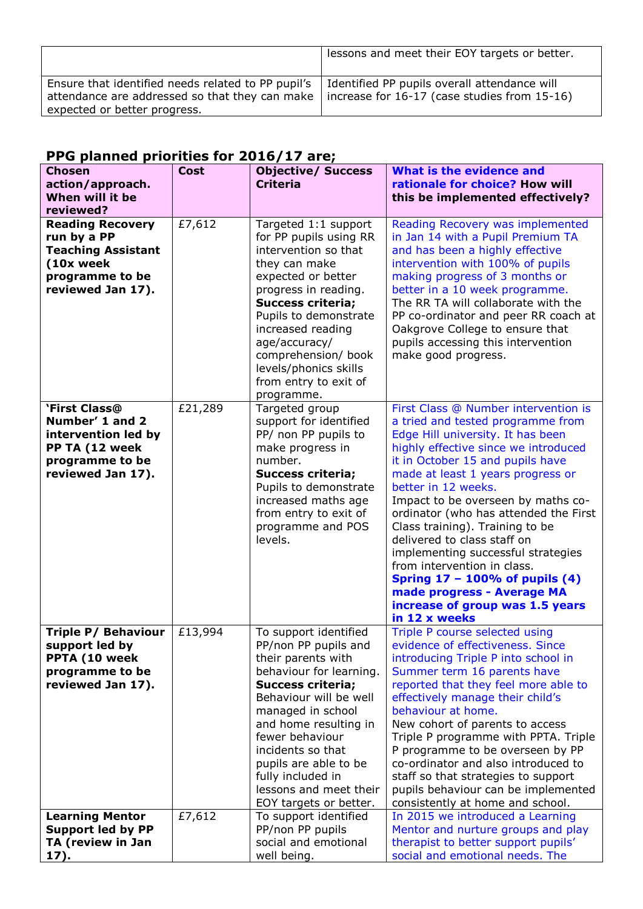|                                                                                                                                      | lessons and meet their EOY targets or better.                                                        |
|--------------------------------------------------------------------------------------------------------------------------------------|------------------------------------------------------------------------------------------------------|
| Ensure that identified needs related to PP pupil's<br>attendance are addressed so that they can make<br>expected or better progress. | Identified PP pupils overall attendance will<br>$\vert$ increase for 16-17 (case studies from 15-16) |

## **PPG planned priorities for 2016/17 are;**

| <b>Chosen</b><br>action/approach.<br>When will it be<br>reviewed?                                                        | <b>Cost</b> | <b>Objective/ Success</b><br><b>Criteria</b>                                                                                                                                                                                                                                                                                                 | What is the evidence and<br>rationale for choice? How will<br>this be implemented effectively?                                                                                                                                                                                                                                                                                                                                                                                                                                                                                                   |
|--------------------------------------------------------------------------------------------------------------------------|-------------|----------------------------------------------------------------------------------------------------------------------------------------------------------------------------------------------------------------------------------------------------------------------------------------------------------------------------------------------|--------------------------------------------------------------------------------------------------------------------------------------------------------------------------------------------------------------------------------------------------------------------------------------------------------------------------------------------------------------------------------------------------------------------------------------------------------------------------------------------------------------------------------------------------------------------------------------------------|
| <b>Reading Recovery</b><br>run by a PP<br><b>Teaching Assistant</b><br>(10x week<br>programme to be<br>reviewed Jan 17). | £7,612      | Targeted 1:1 support<br>for PP pupils using RR<br>intervention so that<br>they can make<br>expected or better<br>progress in reading.<br><b>Success criteria;</b><br>Pupils to demonstrate<br>increased reading<br>age/accuracy/<br>comprehension/ book<br>levels/phonics skills<br>from entry to exit of<br>programme.                      | Reading Recovery was implemented<br>in Jan 14 with a Pupil Premium TA<br>and has been a highly effective<br>intervention with 100% of pupils<br>making progress of 3 months or<br>better in a 10 week programme.<br>The RR TA will collaborate with the<br>PP co-ordinator and peer RR coach at<br>Oakgrove College to ensure that<br>pupils accessing this intervention<br>make good progress.                                                                                                                                                                                                  |
| <b>`First Class@</b><br>Number' 1 and 2<br>intervention led by<br>PP TA (12 week<br>programme to be<br>reviewed Jan 17). | £21,289     | Targeted group<br>support for identified<br>PP/ non PP pupils to<br>make progress in<br>number.<br><b>Success criteria;</b><br>Pupils to demonstrate<br>increased maths age<br>from entry to exit of<br>programme and POS<br>levels.                                                                                                         | First Class @ Number intervention is<br>a tried and tested programme from<br>Edge Hill university. It has been<br>highly effective since we introduced<br>it in October 15 and pupils have<br>made at least 1 years progress or<br>better in 12 weeks.<br>Impact to be overseen by maths co-<br>ordinator (who has attended the First<br>Class training). Training to be<br>delivered to class staff on<br>implementing successful strategies<br>from intervention in class.<br>Spring 17 - 100% of pupils (4)<br>made progress - Average MA<br>increase of group was 1.5 years<br>in 12 x weeks |
| Triple P/ Behaviour<br>support led by<br>PPTA (10 week<br>programme to be<br>reviewed Jan 17).                           | £13,994     | To support identified<br>PP/non PP pupils and<br>their parents with<br>behaviour for learning.<br><b>Success criteria;</b><br>Behaviour will be well<br>managed in school<br>and home resulting in<br>fewer behaviour<br>incidents so that<br>pupils are able to be<br>fully included in<br>lessons and meet their<br>EOY targets or better. | Triple P course selected using<br>evidence of effectiveness. Since<br>introducing Triple P into school in<br>Summer term 16 parents have<br>reported that they feel more able to<br>effectively manage their child's<br>behaviour at home.<br>New cohort of parents to access<br>Triple P programme with PPTA. Triple<br>P programme to be overseen by PP<br>co-ordinator and also introduced to<br>staff so that strategies to support<br>pupils behaviour can be implemented<br>consistently at home and school.                                                                               |
| <b>Learning Mentor</b><br><b>Support led by PP</b><br>TA (review in Jan<br>17).                                          | £7,612      | To support identified<br>PP/non PP pupils<br>social and emotional<br>well being.                                                                                                                                                                                                                                                             | In 2015 we introduced a Learning<br>Mentor and nurture groups and play<br>therapist to better support pupils'<br>social and emotional needs. The                                                                                                                                                                                                                                                                                                                                                                                                                                                 |